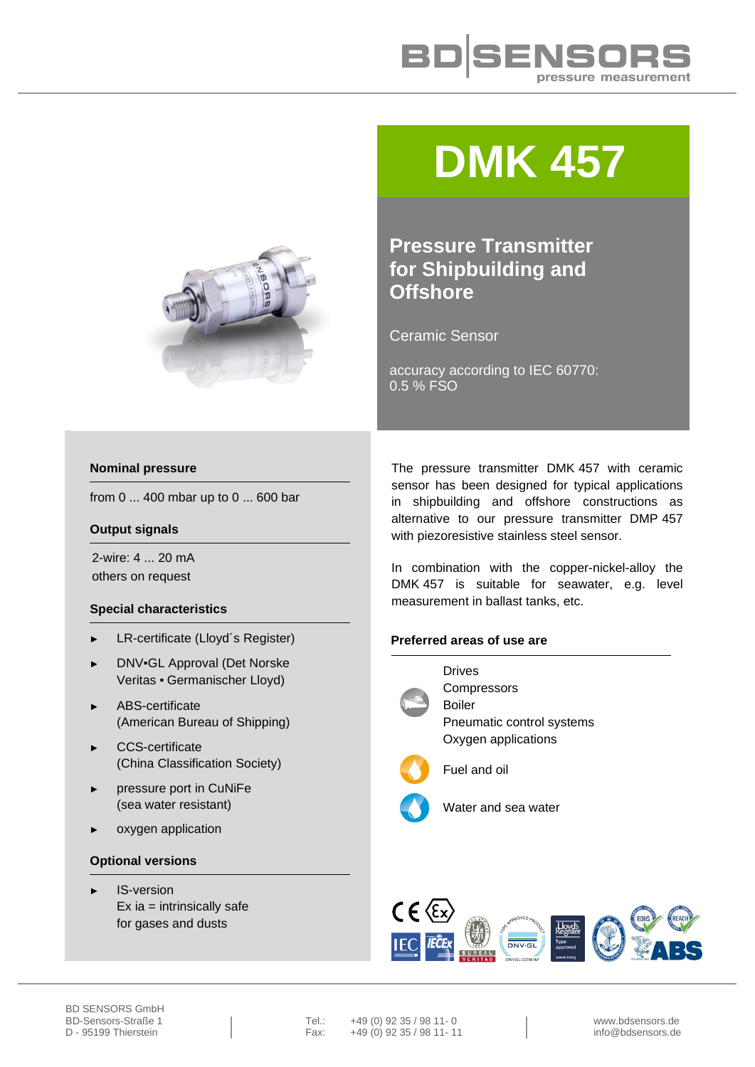

# **DMK 457**



Ceramic Sensor

accuracy according to IEC 60770: 0.5 % FSO



from  $0...400$  mbar up to  $0...600$  bar

### **Output signals**

2-wire: 4 ... 20 mA others on request

## **Special characteristics**

- ► LR-certificate (Lloyd´s Register)
- ► DNV▪GL Approval (Det Norske Veritas ▪ Germanischer Lloyd)
- ► ABS-certificate (American Bureau of Shipping)
- ► CCS-certificate (China Classification Society)
- pressure port in CuNiFe (sea water resistant)
- oxygen application

#### **Optional versions**

IS-version  $Ex$  ia = intrinsically safe for gases and dusts

The pressure transmitter DMK 457 with ceramic sensor has been designed for typical applications in shipbuilding and offshore constructions as alternative to our pressure transmitter DMP 457 with piezoresistive stainless steel sensor.

In combination with the copper-nickel-alloy the DMK 457 is suitable for seawater, e.g. level measurement in ballast tanks, etc.

#### **Preferred areas of use are**



Drives **Compressors** Boiler Pneumatic control systems Oxygen applications



Fuel and oil



Water and sea water



BD-Sensors-Straße 1 | Tel.: +49 (0) 92 35 / 98 11- 0 | www.bdsensors.de<br>
D - 95199 Thierstein | Fax: +49 (0) 92 35 / 98 11- 11 | info@bdsensors.de  $+49(0)$  92 35 / 98 11- 11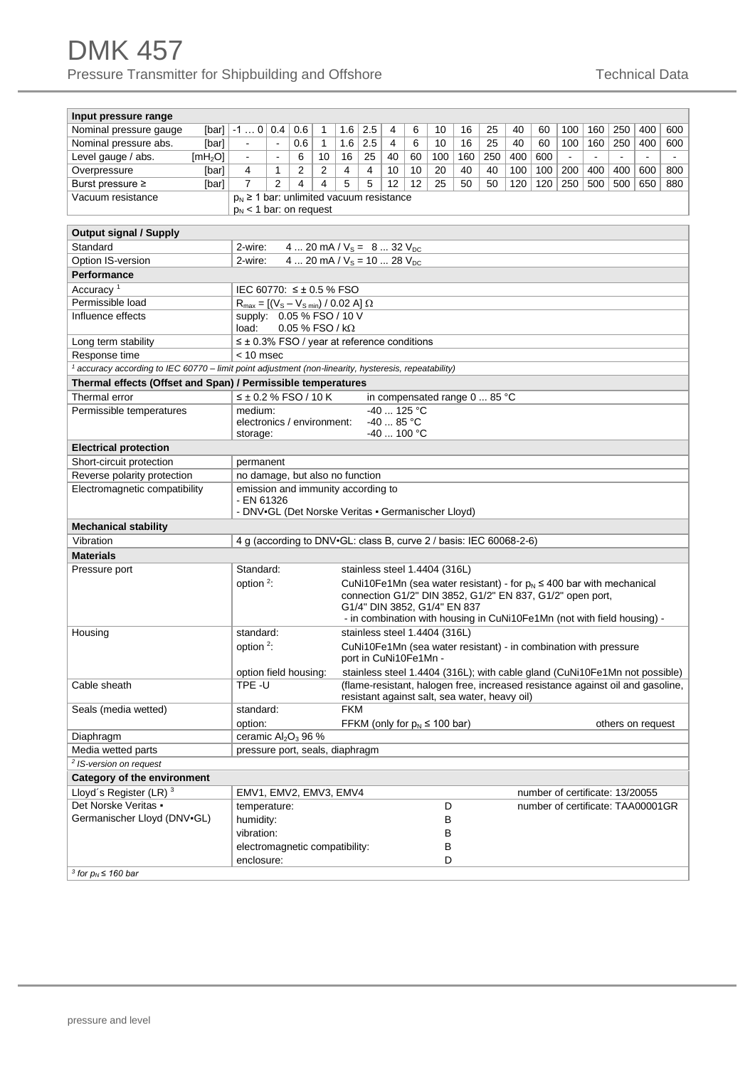# DMK 457 Pressure Transmitter for Shipbuilding and Offshore The Channel Technical Data

| Input pressure range                                                                                             |                       |                                                                                           |                                                                                           |                                                                         |            |     |             |    |                                                                                |     |     |     |     |                                   |                |                       |                   |     |
|------------------------------------------------------------------------------------------------------------------|-----------------------|-------------------------------------------------------------------------------------------|-------------------------------------------------------------------------------------------|-------------------------------------------------------------------------|------------|-----|-------------|----|--------------------------------------------------------------------------------|-----|-----|-----|-----|-----------------------------------|----------------|-----------------------|-------------------|-----|
| Nominal pressure gauge<br>[bar]                                                                                  | $-10$                 | 0.4                                                                                       | 0.6                                                                                       | 1                                                                       | 1.6        | 2.5 | 4           | 6  | 10                                                                             | 16  | 25  | 40  | 60  | 100                               | 160            | 250                   | 400               | 600 |
| Nominal pressure abs.<br>[bar]                                                                                   | $\blacksquare$        | $\blacksquare$                                                                            | 0.6                                                                                       | $\mathbf{1}$                                                            | 1.6        | 2.5 | 4           | 6  | 10                                                                             | 16  | 25  | 40  | 60  | 100                               | 160            | 250                   | 400               | 600 |
| Level gauge / abs.<br>[mH <sub>2</sub> O]                                                                        | $\blacksquare$        | $\blacksquare$                                                                            | 6                                                                                         | 10                                                                      | 16         | 25  | 40          | 60 | 100                                                                            | 160 | 250 | 400 | 600 | $\blacksquare$                    | $\blacksquare$ | $\tilde{\phantom{a}}$ | $\blacksquare$    |     |
| Overpressure<br>[bar]                                                                                            | 4                     | 1                                                                                         | 2                                                                                         | 2                                                                       | 4          | 4   | 10          | 10 | 20                                                                             | 40  | 40  | 100 | 100 | 200                               | 400            | 400                   | 600               | 800 |
| Burst pressure ≥<br>[bar]                                                                                        | $\overline{7}$        | 2                                                                                         | 4                                                                                         | 4                                                                       | 5          | 5   | 12          | 12 | 25                                                                             | 50  | 50  | 120 | 120 | 250                               | 500            | 500                   | 650               | 880 |
| Vacuum resistance                                                                                                |                       |                                                                                           |                                                                                           |                                                                         |            |     |             |    |                                                                                |     |     |     |     |                                   |                |                       |                   |     |
|                                                                                                                  |                       | $p_N \geq 1$ bar: unlimited vacuum resistance<br>$p_N < 1$ bar: on request                |                                                                                           |                                                                         |            |     |             |    |                                                                                |     |     |     |     |                                   |                |                       |                   |     |
|                                                                                                                  |                       |                                                                                           |                                                                                           |                                                                         |            |     |             |    |                                                                                |     |     |     |     |                                   |                |                       |                   |     |
| <b>Output signal / Supply</b>                                                                                    |                       |                                                                                           |                                                                                           |                                                                         |            |     |             |    |                                                                                |     |     |     |     |                                   |                |                       |                   |     |
| Standard                                                                                                         |                       | 4  20 mA / $V_s = 8$ 32 $V_{DC}$<br>2-wire:                                               |                                                                                           |                                                                         |            |     |             |    |                                                                                |     |     |     |     |                                   |                |                       |                   |     |
| Option IS-version                                                                                                |                       | 2-wire:<br>4  20 mA / $V_s$ = 10  28 $V_{DC}$                                             |                                                                                           |                                                                         |            |     |             |    |                                                                                |     |     |     |     |                                   |                |                       |                   |     |
| <b>Performance</b>                                                                                               |                       |                                                                                           |                                                                                           |                                                                         |            |     |             |    |                                                                                |     |     |     |     |                                   |                |                       |                   |     |
| Accuracy <sup>1</sup>                                                                                            |                       | IEC 60770: ≤± 0.5 % FSO                                                                   |                                                                                           |                                                                         |            |     |             |    |                                                                                |     |     |     |     |                                   |                |                       |                   |     |
| Permissible load                                                                                                 |                       | $R_{max} = [(V_s - V_{s min}) / 0.02 A] \Omega$                                           |                                                                                           |                                                                         |            |     |             |    |                                                                                |     |     |     |     |                                   |                |                       |                   |     |
| Influence effects                                                                                                |                       | supply: 0.05 % FSO / 10 V                                                                 |                                                                                           |                                                                         |            |     |             |    |                                                                                |     |     |     |     |                                   |                |                       |                   |     |
|                                                                                                                  | load:                 | $0.05\%$ FSO / k $\Omega$                                                                 |                                                                                           |                                                                         |            |     |             |    |                                                                                |     |     |     |     |                                   |                |                       |                   |     |
| Long term stability                                                                                              |                       | $\leq \pm 0.3\%$ FSO / year at reference conditions                                       |                                                                                           |                                                                         |            |     |             |    |                                                                                |     |     |     |     |                                   |                |                       |                   |     |
| Response time                                                                                                    |                       | $< 10$ msec                                                                               |                                                                                           |                                                                         |            |     |             |    |                                                                                |     |     |     |     |                                   |                |                       |                   |     |
| <sup>1</sup> accuracy according to IEC 60770 – limit point adjustment (non-linearity, hysteresis, repeatability) |                       |                                                                                           |                                                                                           |                                                                         |            |     |             |    |                                                                                |     |     |     |     |                                   |                |                       |                   |     |
| Thermal effects (Offset and Span) / Permissible temperatures                                                     |                       |                                                                                           |                                                                                           |                                                                         |            |     |             |    |                                                                                |     |     |     |     |                                   |                |                       |                   |     |
| Thermal error                                                                                                    |                       | $≤$ ± 0.2 % FSO / 10 K                                                                    |                                                                                           |                                                                         |            |     |             |    | in compensated range 0  85 °C                                                  |     |     |     |     |                                   |                |                       |                   |     |
| Permissible temperatures                                                                                         | medium:               |                                                                                           |                                                                                           |                                                                         |            |     | -40  125 °C |    |                                                                                |     |     |     |     |                                   |                |                       |                   |     |
|                                                                                                                  |                       | electronics / environment:                                                                |                                                                                           |                                                                         |            |     | $-4085 °C$  |    |                                                                                |     |     |     |     |                                   |                |                       |                   |     |
|                                                                                                                  | storage:              |                                                                                           |                                                                                           |                                                                         |            |     | -40  100 °C |    |                                                                                |     |     |     |     |                                   |                |                       |                   |     |
| <b>Electrical protection</b>                                                                                     |                       |                                                                                           |                                                                                           |                                                                         |            |     |             |    |                                                                                |     |     |     |     |                                   |                |                       |                   |     |
| Short-circuit protection                                                                                         |                       | permanent                                                                                 |                                                                                           |                                                                         |            |     |             |    |                                                                                |     |     |     |     |                                   |                |                       |                   |     |
| Reverse polarity protection                                                                                      |                       | no damage, but also no function                                                           |                                                                                           |                                                                         |            |     |             |    |                                                                                |     |     |     |     |                                   |                |                       |                   |     |
| Electromagnetic compatibility                                                                                    |                       | emission and immunity according to                                                        |                                                                                           |                                                                         |            |     |             |    |                                                                                |     |     |     |     |                                   |                |                       |                   |     |
|                                                                                                                  |                       | - EN 61326<br>- DNV-GL (Det Norske Veritas - Germanischer Lloyd)                          |                                                                                           |                                                                         |            |     |             |    |                                                                                |     |     |     |     |                                   |                |                       |                   |     |
|                                                                                                                  |                       |                                                                                           |                                                                                           |                                                                         |            |     |             |    |                                                                                |     |     |     |     |                                   |                |                       |                   |     |
| <b>Mechanical stability</b>                                                                                      |                       |                                                                                           |                                                                                           |                                                                         |            |     |             |    |                                                                                |     |     |     |     |                                   |                |                       |                   |     |
| Vibration                                                                                                        |                       |                                                                                           |                                                                                           |                                                                         |            |     |             |    | 4 g (according to DNV.GL: class B, curve 2 / basis: IEC 60068-2-6)             |     |     |     |     |                                   |                |                       |                   |     |
| <b>Materials</b>                                                                                                 |                       |                                                                                           |                                                                                           |                                                                         |            |     |             |    |                                                                                |     |     |     |     |                                   |                |                       |                   |     |
| Pressure port                                                                                                    | Standard:             |                                                                                           |                                                                                           |                                                                         |            |     |             |    | stainless steel 1.4404 (316L)                                                  |     |     |     |     |                                   |                |                       |                   |     |
|                                                                                                                  | option <sup>2</sup> : |                                                                                           |                                                                                           |                                                                         |            |     |             |    | CuNi10Fe1Mn (sea water resistant) - for $p_N \le 400$ bar with mechanical      |     |     |     |     |                                   |                |                       |                   |     |
|                                                                                                                  |                       | connection G1/2" DIN 3852, G1/2" EN 837, G1/2" open port,<br>G1/4" DIN 3852, G1/4" EN 837 |                                                                                           |                                                                         |            |     |             |    |                                                                                |     |     |     |     |                                   |                |                       |                   |     |
|                                                                                                                  |                       |                                                                                           |                                                                                           | - in combination with housing in CuNi10Fe1Mn (not with field housing) - |            |     |             |    |                                                                                |     |     |     |     |                                   |                |                       |                   |     |
| Housing                                                                                                          | standard:             |                                                                                           |                                                                                           |                                                                         |            |     |             |    | stainless steel 1.4404 (316L)                                                  |     |     |     |     |                                   |                |                       |                   |     |
|                                                                                                                  | option $2$ :          |                                                                                           |                                                                                           |                                                                         |            |     |             |    |                                                                                |     |     |     |     |                                   |                |                       |                   |     |
|                                                                                                                  |                       |                                                                                           | CuNi10Fe1Mn (sea water resistant) - in combination with pressure<br>port in CuNi10Fe1Mn - |                                                                         |            |     |             |    |                                                                                |     |     |     |     |                                   |                |                       |                   |     |
|                                                                                                                  |                       | option field housing:                                                                     |                                                                                           |                                                                         |            |     |             |    | stainless steel 1.4404 (316L); with cable gland (CuNi10Fe1Mn not possible)     |     |     |     |     |                                   |                |                       |                   |     |
| Cable sheath                                                                                                     | TPE -U                |                                                                                           |                                                                                           |                                                                         |            |     |             |    | (flame-resistant, halogen free, increased resistance against oil and gasoline, |     |     |     |     |                                   |                |                       |                   |     |
|                                                                                                                  |                       |                                                                                           |                                                                                           |                                                                         |            |     |             |    | resistant against salt, sea water, heavy oil)                                  |     |     |     |     |                                   |                |                       |                   |     |
| Seals (media wetted)                                                                                             | standard:             |                                                                                           |                                                                                           |                                                                         | <b>FKM</b> |     |             |    |                                                                                |     |     |     |     |                                   |                |                       |                   |     |
|                                                                                                                  | option:               |                                                                                           |                                                                                           |                                                                         |            |     |             |    | FFKM (only for $p_N \le 100$ bar)                                              |     |     |     |     |                                   |                |                       | others on request |     |
| Diaphragm                                                                                                        |                       | ceramic $Al_2O_3$ 96 %                                                                    |                                                                                           |                                                                         |            |     |             |    |                                                                                |     |     |     |     |                                   |                |                       |                   |     |
| Media wetted parts                                                                                               |                       | pressure port, seals, diaphragm                                                           |                                                                                           |                                                                         |            |     |             |    |                                                                                |     |     |     |     |                                   |                |                       |                   |     |
| <sup>2</sup> IS-version on request                                                                               |                       |                                                                                           |                                                                                           |                                                                         |            |     |             |    |                                                                                |     |     |     |     |                                   |                |                       |                   |     |
| <b>Category of the environment</b>                                                                               |                       |                                                                                           |                                                                                           |                                                                         |            |     |             |    |                                                                                |     |     |     |     |                                   |                |                       |                   |     |
| Lloyd's Register (LR) 3                                                                                          |                       | EMV1, EMV2, EMV3, EMV4<br>number of certificate: 13/20055                                 |                                                                                           |                                                                         |            |     |             |    |                                                                                |     |     |     |     |                                   |                |                       |                   |     |
| Det Norske Veritas ·                                                                                             |                       | temperature:                                                                              |                                                                                           |                                                                         |            |     |             |    | D                                                                              |     |     |     |     | number of certificate: TAA00001GR |                |                       |                   |     |
| Germanischer Lloyd (DNV-GL)                                                                                      | humidity:             |                                                                                           |                                                                                           |                                                                         |            |     |             |    | B                                                                              |     |     |     |     |                                   |                |                       |                   |     |
|                                                                                                                  | vibration:            |                                                                                           |                                                                                           |                                                                         |            |     |             |    | B                                                                              |     |     |     |     |                                   |                |                       |                   |     |
|                                                                                                                  |                       | electromagnetic compatibility:                                                            |                                                                                           |                                                                         |            |     |             |    | B                                                                              |     |     |     |     |                                   |                |                       |                   |     |
|                                                                                                                  | enclosure:            |                                                                                           |                                                                                           |                                                                         |            |     |             |    | D                                                                              |     |     |     |     |                                   |                |                       |                   |     |
| $3$ for $p_N \le 160$ bar                                                                                        |                       |                                                                                           |                                                                                           |                                                                         |            |     |             |    |                                                                                |     |     |     |     |                                   |                |                       |                   |     |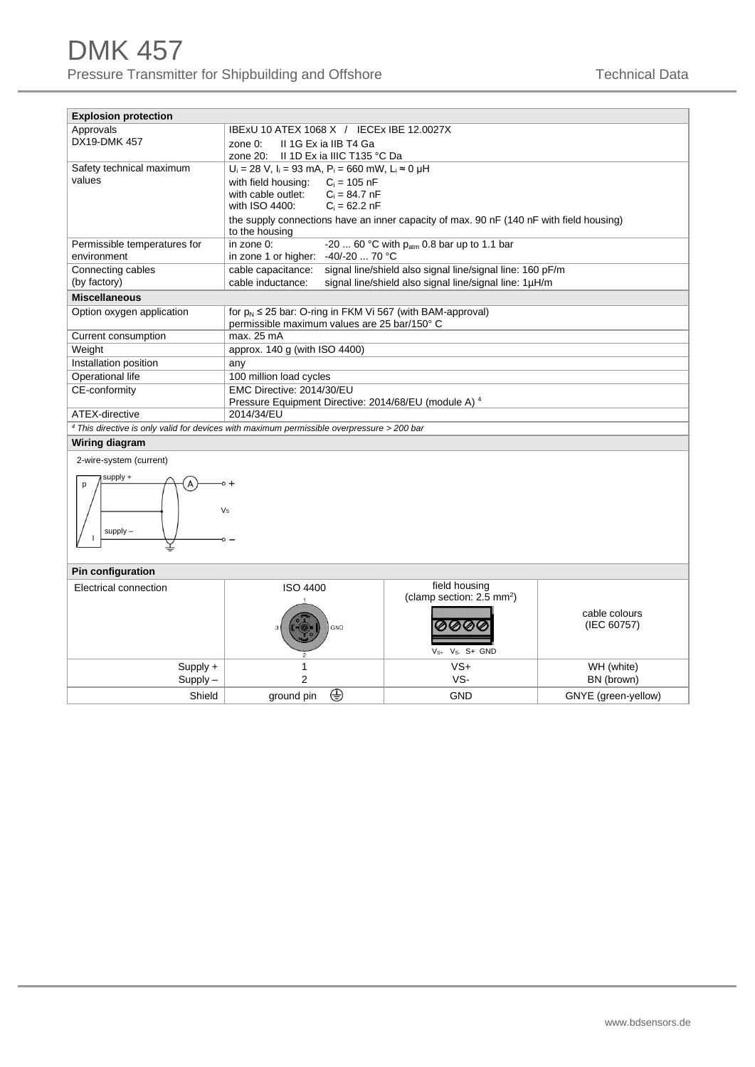| <b>Explosion protection</b>                                                                    |                                                                                                           |  |  |  |  |  |  |
|------------------------------------------------------------------------------------------------|-----------------------------------------------------------------------------------------------------------|--|--|--|--|--|--|
| Approvals                                                                                      | IBExU 10 ATEX 1068 X / IECEx IBE 12.0027X                                                                 |  |  |  |  |  |  |
| DX19-DMK 457                                                                                   | II 1G Ex ia IIB T4 Ga<br>zone $0$ :                                                                       |  |  |  |  |  |  |
|                                                                                                | zone 20: Il 1D Ex ia IIIC T135 °C Da                                                                      |  |  |  |  |  |  |
| Safety technical maximum                                                                       | $U_i = 28$ V, $I_i = 93$ mA, $P_i = 660$ mW, $L_i \approx 0$ µH                                           |  |  |  |  |  |  |
| values                                                                                         | with field housing: $C_i = 105$ nF                                                                        |  |  |  |  |  |  |
|                                                                                                | with cable outlet: $C_i = 84.7$ nF                                                                        |  |  |  |  |  |  |
|                                                                                                | with ISO 4400:<br>$C_i = 62.2 nF$                                                                         |  |  |  |  |  |  |
|                                                                                                | the supply connections have an inner capacity of max. 90 nF (140 nF with field housing)<br>to the housing |  |  |  |  |  |  |
| Permissible temperatures for                                                                   | -20  60 °C with $p_{atm}$ 0.8 bar up to 1.1 bar<br>in zone 0:                                             |  |  |  |  |  |  |
| environment                                                                                    | in zone 1 or higher: -40/-20  70 °C                                                                       |  |  |  |  |  |  |
| Connecting cables                                                                              | cable capacitance:<br>signal line/shield also signal line/signal line: 160 pF/m                           |  |  |  |  |  |  |
| (by factory)                                                                                   | signal line/shield also signal line/signal line: 1µH/m<br>cable inductance:                               |  |  |  |  |  |  |
| <b>Miscellaneous</b>                                                                           |                                                                                                           |  |  |  |  |  |  |
| Option oxygen application                                                                      | for $p_N \le 25$ bar: O-ring in FKM Vi 567 (with BAM-approval)                                            |  |  |  |  |  |  |
|                                                                                                | permissible maximum values are 25 bar/150° C                                                              |  |  |  |  |  |  |
| Current consumption                                                                            | max. 25 mA                                                                                                |  |  |  |  |  |  |
| Weight                                                                                         | approx. 140 g (with ISO 4400)                                                                             |  |  |  |  |  |  |
| Installation position                                                                          | any                                                                                                       |  |  |  |  |  |  |
| Operational life                                                                               | 100 million load cycles                                                                                   |  |  |  |  |  |  |
| CE-conformity                                                                                  | EMC Directive: 2014/30/EU                                                                                 |  |  |  |  |  |  |
|                                                                                                | Pressure Equipment Directive: 2014/68/EU (module A) 4                                                     |  |  |  |  |  |  |
| ATEX-directive                                                                                 | 2014/34/EU                                                                                                |  |  |  |  |  |  |
| $4$ This directive is only valid for devices with maximum permissible overpressure $>$ 200 bar |                                                                                                           |  |  |  |  |  |  |
| Wiring diagram                                                                                 |                                                                                                           |  |  |  |  |  |  |
| 2 wire overam (currant)                                                                        |                                                                                                           |  |  |  |  |  |  |



#### **Pin configuration**

| . <u>.</u>             |                 |                                                                                              |                              |  |  |  |  |
|------------------------|-----------------|----------------------------------------------------------------------------------------------|------------------------------|--|--|--|--|
| Electrical connection  | ISO 4400<br>GND | field housing<br>(clamp section: 2.5 mm <sup>2</sup> )<br>0000<br>$V_{S+}$ $V_{S-}$ $S+$ GND | cable colours<br>(IEC 60757) |  |  |  |  |
| Supply +<br>$Supply -$ |                 | $VS+$<br>VS-                                                                                 | WH (white)<br>BN (brown)     |  |  |  |  |
|                        |                 |                                                                                              |                              |  |  |  |  |
| Shield                 | ⊕<br>ground pin | <b>GND</b>                                                                                   | GNYE (green-yellow)          |  |  |  |  |
|                        |                 |                                                                                              |                              |  |  |  |  |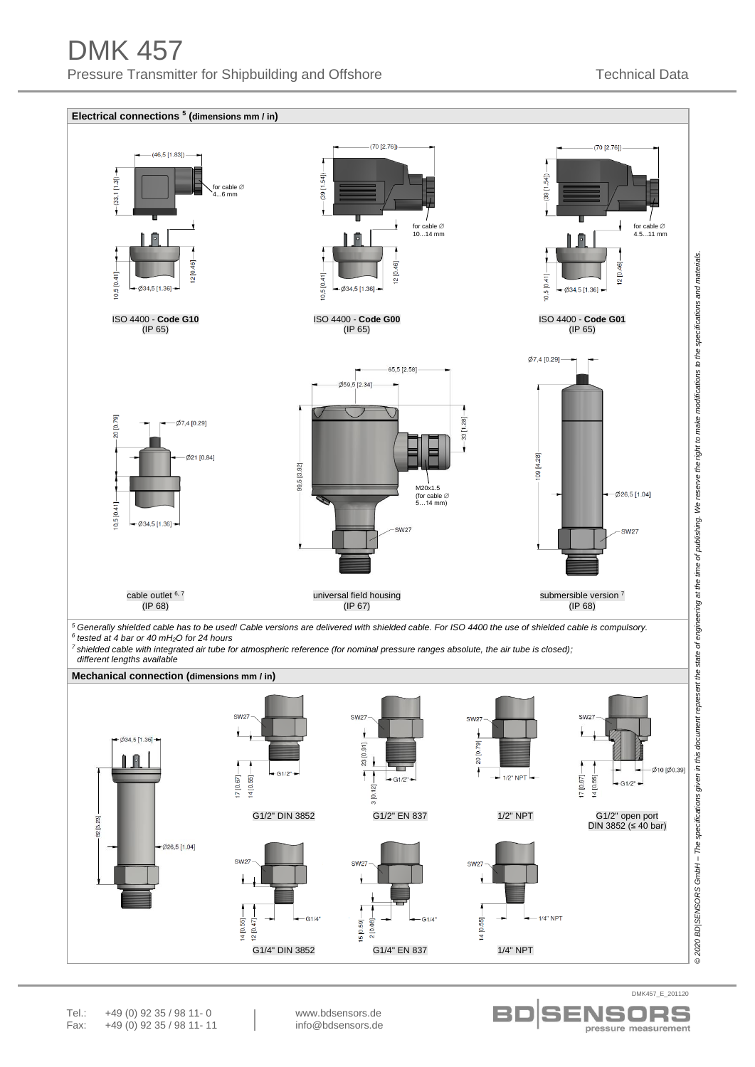

pressure measurement

S